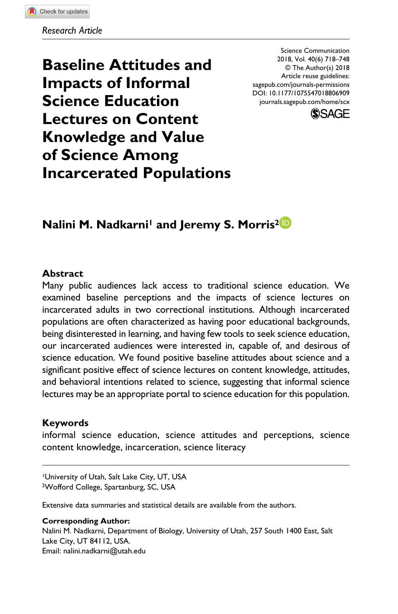**Baseline Attitudes and Impacts of Informal Science Education Lectures on Content Knowledge and Value of Science Among Incarcerated Populations** DOI: 10.1177/1075547018806909 Science Communication 2018, Vol. 40(6) 718–748 © The Author(s) 2018 Article reuse guidelines: [sagepub.com/journals-permissions](https://us.sagepub.com/en-us/journals-permissions) [journals.sagepub.com/home/scx](https://journals.sagepub.com/home/scx)



## **Nalini M. Nadkarni<sup>1</sup> and Jeremy S. Morris<sup>2</sup><sup>1</sup>**

### **Abstract**

Many public audiences lack access to traditional science education. We examined baseline perceptions and the impacts of science lectures on incarcerated adults in two correctional institutions. Although incarcerated populations are often characterized as having poor educational backgrounds, being disinterested in learning, and having few tools to seek science education, our incarcerated audiences were interested in, capable of, and desirous of science education. We found positive baseline attitudes about science and a significant positive effect of science lectures on content knowledge, attitudes, and behavioral intentions related to science, suggesting that informal science lectures may be an appropriate portal to science education for this population.

### **Keywords**

informal science education, science attitudes and perceptions, science content knowledge, incarceration, science literacy

1University of Utah, Salt Lake City, UT, USA 2Wofford College, Spartanburg, SC, USA

Extensive data summaries and statistical details are available from the authors.

#### **Corresponding Author:**

Nalini M. Nadkarni, Department of Biology, University of Utah, 257 South 1400 East, Salt Lake City, UT 84112, USA. Email: [nalini.nadkarni@utah.edu](mailto:nalini.nadkarni@utah.edu)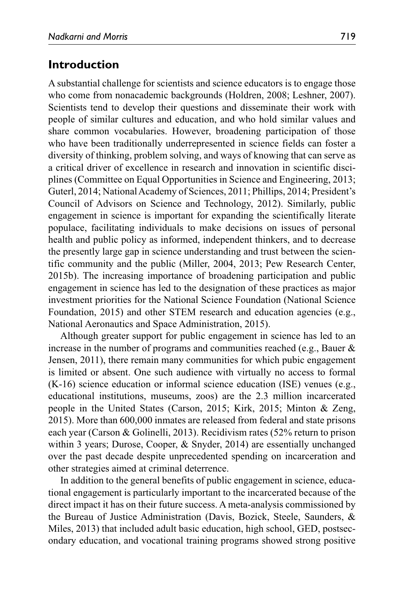## **Introduction**

A substantial challenge for scientists and science educators is to engage those who come from nonacademic backgrounds (Holdren, 2008; Leshner, 2007). Scientists tend to develop their questions and disseminate their work with people of similar cultures and education, and who hold similar values and share common vocabularies. However, broadening participation of those who have been traditionally underrepresented in science fields can foster a diversity of thinking, problem solving, and ways of knowing that can serve as a critical driver of excellence in research and innovation in scientific disciplines (Committee on Equal Opportunities in Science and Engineering, 2013; Guterl, 2014; National Academy of Sciences, 2011; Phillips, 2014; President's Council of Advisors on Science and Technology, 2012). Similarly, public engagement in science is important for expanding the scientifically literate populace, facilitating individuals to make decisions on issues of personal health and public policy as informed, independent thinkers, and to decrease the presently large gap in science understanding and trust between the scientific community and the public (Miller, 2004, 2013; Pew Research Center, 2015b). The increasing importance of broadening participation and public engagement in science has led to the designation of these practices as major investment priorities for the National Science Foundation (National Science Foundation, 2015) and other STEM research and education agencies (e.g., National Aeronautics and Space Administration, 2015).

Although greater support for public engagement in science has led to an increase in the number of programs and communities reached (e.g., Bauer & Jensen, 2011), there remain many communities for which pubic engagement is limited or absent. One such audience with virtually no access to formal (K-16) science education or informal science education (ISE) venues (e.g., educational institutions, museums, zoos) are the 2.3 million incarcerated people in the United States (Carson, 2015; Kirk, 2015; Minton & Zeng, 2015). More than 600,000 inmates are released from federal and state prisons each year (Carson & Golinelli, 2013). Recidivism rates (52% return to prison within 3 years; Durose, Cooper, & Snyder, 2014) are essentially unchanged over the past decade despite unprecedented spending on incarceration and other strategies aimed at criminal deterrence.

In addition to the general benefits of public engagement in science, educational engagement is particularly important to the incarcerated because of the direct impact it has on their future success. A meta-analysis commissioned by the Bureau of Justice Administration (Davis, Bozick, Steele, Saunders, & Miles, 2013) that included adult basic education, high school, GED, postsecondary education, and vocational training programs showed strong positive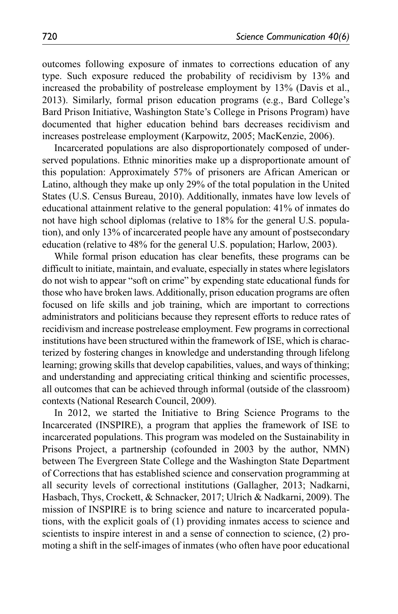outcomes following exposure of inmates to corrections education of any type. Such exposure reduced the probability of recidivism by 13% and increased the probability of postrelease employment by 13% (Davis et al., 2013). Similarly, formal prison education programs (e.g., Bard College's Bard Prison Initiative, Washington State's College in Prisons Program) have documented that higher education behind bars decreases recidivism and increases postrelease employment (Karpowitz, 2005; MacKenzie, 2006).

Incarcerated populations are also disproportionately composed of underserved populations. Ethnic minorities make up a disproportionate amount of this population: Approximately 57% of prisoners are African American or Latino, although they make up only 29% of the total population in the United States (U.S. Census Bureau, 2010). Additionally, inmates have low levels of educational attainment relative to the general population: 41% of inmates do not have high school diplomas (relative to 18% for the general U.S. population), and only 13% of incarcerated people have any amount of postsecondary education (relative to 48% for the general U.S. population; Harlow, 2003).

While formal prison education has clear benefits, these programs can be difficult to initiate, maintain, and evaluate, especially in states where legislators do not wish to appear "soft on crime" by expending state educational funds for those who have broken laws. Additionally, prison education programs are often focused on life skills and job training, which are important to corrections administrators and politicians because they represent efforts to reduce rates of recidivism and increase postrelease employment. Few programs in correctional institutions have been structured within the framework of ISE, which is characterized by fostering changes in knowledge and understanding through lifelong learning; growing skills that develop capabilities, values, and ways of thinking; and understanding and appreciating critical thinking and scientific processes, all outcomes that can be achieved through informal (outside of the classroom) contexts (National Research Council, 2009).

In 2012, we started the Initiative to Bring Science Programs to the Incarcerated (INSPIRE), a program that applies the framework of ISE to incarcerated populations. This program was modeled on the Sustainability in Prisons Project, a partnership (cofounded in 2003 by the author, NMN) between The Evergreen State College and the Washington State Department of Corrections that has established science and conservation programming at all security levels of correctional institutions (Gallagher, 2013; Nadkarni, Hasbach, Thys, Crockett, & Schnacker, 2017; Ulrich & Nadkarni, 2009). The mission of INSPIRE is to bring science and nature to incarcerated populations, with the explicit goals of (1) providing inmates access to science and scientists to inspire interest in and a sense of connection to science, (2) promoting a shift in the self-images of inmates (who often have poor educational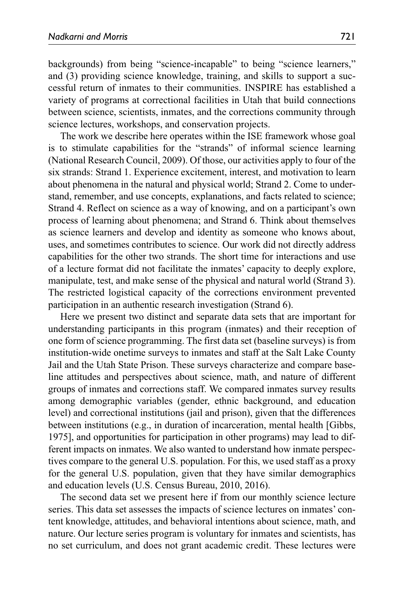backgrounds) from being "science-incapable" to being "science learners," and (3) providing science knowledge, training, and skills to support a successful return of inmates to their communities. INSPIRE has established a variety of programs at correctional facilities in Utah that build connections between science, scientists, inmates, and the corrections community through science lectures, workshops, and conservation projects.

The work we describe here operates within the ISE framework whose goal is to stimulate capabilities for the "strands" of informal science learning (National Research Council, 2009). Of those, our activities apply to four of the six strands: Strand 1. Experience excitement, interest, and motivation to learn about phenomena in the natural and physical world; Strand 2. Come to understand, remember, and use concepts, explanations, and facts related to science; Strand 4. Reflect on science as a way of knowing, and on a participant's own process of learning about phenomena; and Strand 6. Think about themselves as science learners and develop and identity as someone who knows about, uses, and sometimes contributes to science. Our work did not directly address capabilities for the other two strands. The short time for interactions and use of a lecture format did not facilitate the inmates' capacity to deeply explore, manipulate, test, and make sense of the physical and natural world (Strand 3). The restricted logistical capacity of the corrections environment prevented participation in an authentic research investigation (Strand 6).

Here we present two distinct and separate data sets that are important for understanding participants in this program (inmates) and their reception of one form of science programming. The first data set (baseline surveys) is from institution-wide onetime surveys to inmates and staff at the Salt Lake County Jail and the Utah State Prison. These surveys characterize and compare baseline attitudes and perspectives about science, math, and nature of different groups of inmates and corrections staff. We compared inmates survey results among demographic variables (gender, ethnic background, and education level) and correctional institutions (jail and prison), given that the differences between institutions (e.g., in duration of incarceration, mental health [Gibbs, 1975], and opportunities for participation in other programs) may lead to different impacts on inmates. We also wanted to understand how inmate perspectives compare to the general U.S. population. For this, we used staff as a proxy for the general U.S. population, given that they have similar demographics and education levels (U.S. Census Bureau, 2010, 2016).

The second data set we present here if from our monthly science lecture series. This data set assesses the impacts of science lectures on inmates' content knowledge, attitudes, and behavioral intentions about science, math, and nature. Our lecture series program is voluntary for inmates and scientists, has no set curriculum, and does not grant academic credit. These lectures were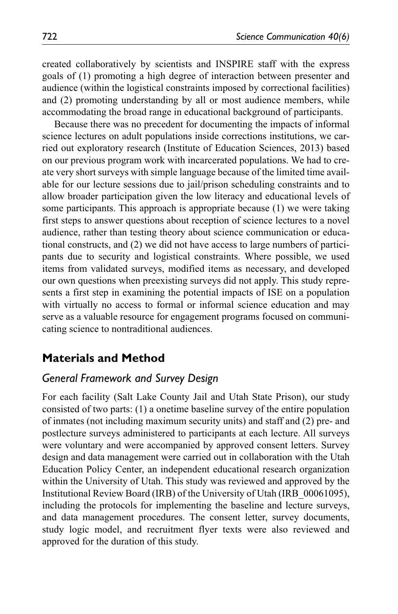created collaboratively by scientists and INSPIRE staff with the express goals of (1) promoting a high degree of interaction between presenter and audience (within the logistical constraints imposed by correctional facilities) and (2) promoting understanding by all or most audience members, while accommodating the broad range in educational background of participants.

Because there was no precedent for documenting the impacts of informal science lectures on adult populations inside corrections institutions, we carried out exploratory research (Institute of Education Sciences, 2013) based on our previous program work with incarcerated populations. We had to create very short surveys with simple language because of the limited time available for our lecture sessions due to jail/prison scheduling constraints and to allow broader participation given the low literacy and educational levels of some participants. This approach is appropriate because (1) we were taking first steps to answer questions about reception of science lectures to a novel audience, rather than testing theory about science communication or educational constructs, and (2) we did not have access to large numbers of participants due to security and logistical constraints. Where possible, we used items from validated surveys, modified items as necessary, and developed our own questions when preexisting surveys did not apply. This study represents a first step in examining the potential impacts of ISE on a population with virtually no access to formal or informal science education and may serve as a valuable resource for engagement programs focused on communicating science to nontraditional audiences.

## **Materials and Method**

## *General Framework and Survey Design*

For each facility (Salt Lake County Jail and Utah State Prison), our study consisted of two parts: (1) a onetime baseline survey of the entire population of inmates (not including maximum security units) and staff and (2) pre- and postlecture surveys administered to participants at each lecture. All surveys were voluntary and were accompanied by approved consent letters. Survey design and data management were carried out in collaboration with the Utah Education Policy Center, an independent educational research organization within the University of Utah. This study was reviewed and approved by the Institutional Review Board (IRB) of the University of Utah (IRB\_00061095), including the protocols for implementing the baseline and lecture surveys, and data management procedures. The consent letter, survey documents, study logic model, and recruitment flyer texts were also reviewed and approved for the duration of this study.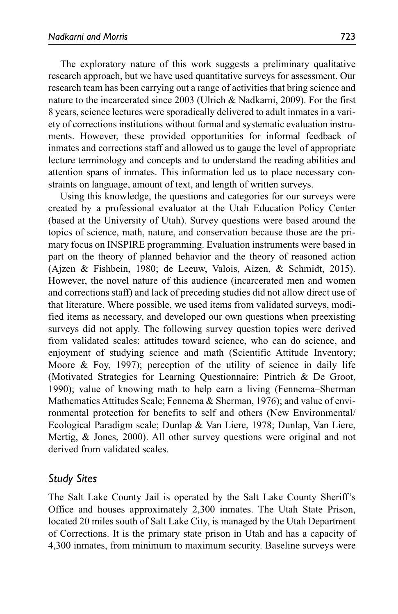The exploratory nature of this work suggests a preliminary qualitative research approach, but we have used quantitative surveys for assessment. Our research team has been carrying out a range of activities that bring science and nature to the incarcerated since 2003 (Ulrich & Nadkarni, 2009). For the first 8 years, science lectures were sporadically delivered to adult inmates in a variety of corrections institutions without formal and systematic evaluation instruments. However, these provided opportunities for informal feedback of inmates and corrections staff and allowed us to gauge the level of appropriate lecture terminology and concepts and to understand the reading abilities and attention spans of inmates. This information led us to place necessary constraints on language, amount of text, and length of written surveys.

Using this knowledge, the questions and categories for our surveys were created by a professional evaluator at the Utah Education Policy Center (based at the University of Utah). Survey questions were based around the topics of science, math, nature, and conservation because those are the primary focus on INSPIRE programming. Evaluation instruments were based in part on the theory of planned behavior and the theory of reasoned action (Ajzen & Fishbein, 1980; de Leeuw, Valois, Aizen, & Schmidt, 2015). However, the novel nature of this audience (incarcerated men and women and corrections staff) and lack of preceding studies did not allow direct use of that literature. Where possible, we used items from validated surveys, modified items as necessary, and developed our own questions when preexisting surveys did not apply. The following survey question topics were derived from validated scales: attitudes toward science, who can do science, and enjoyment of studying science and math (Scientific Attitude Inventory; Moore & Foy, 1997); perception of the utility of science in daily life (Motivated Strategies for Learning Questionnaire; Pintrich & De Groot, 1990); value of knowing math to help earn a living (Fennema–Sherman Mathematics Attitudes Scale; Fennema & Sherman, 1976); and value of environmental protection for benefits to self and others (New Environmental/ Ecological Paradigm scale; Dunlap & Van Liere, 1978; Dunlap, Van Liere, Mertig, & Jones, 2000). All other survey questions were original and not derived from validated scales.

### *Study Sites*

The Salt Lake County Jail is operated by the Salt Lake County Sheriff's Office and houses approximately 2,300 inmates. The Utah State Prison, located 20 miles south of Salt Lake City, is managed by the Utah Department of Corrections. It is the primary state prison in Utah and has a capacity of 4,300 inmates, from minimum to maximum security. Baseline surveys were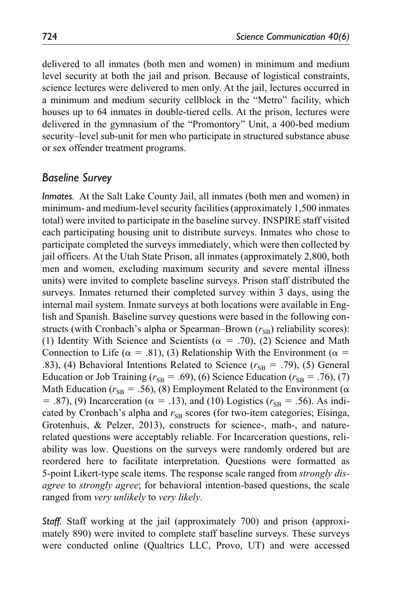delivered to all inmates (both men and women) in minimum and medium level security at both the jail and prison. Because of logistical constraints, science lectures were delivered to men only. At the jail, lectures occurred in a minimum and medium security cellblock in the "Metro" facility, which houses up to 64 inmates in double-tiered cells. At the prison, lectures were delivered in the gymnasium of the "Promontory" Unit, a 400-bed medium security–level sub-unit for men who participate in structured substance abuse or sex offender treatment programs.

### *Baseline Survey*

*Inmates.* At the Salt Lake County Jail, all inmates (both men and women) in minimum- and medium-level security facilities (approximately 1,500 inmates total) were invited to participate in the baseline survey. INSPIRE staff visited each participating housing unit to distribute surveys. Inmates who chose to participate completed the surveys immediately, which were then collected by jail officers. At the Utah State Prison, all inmates (approximately 2,800, both men and women, excluding maximum security and severe mental illness units) were invited to complete baseline surveys. Prison staff distributed the surveys. Inmates returned their completed survey within 3 days, using the internal mail system. Inmate surveys at both locations were available in English and Spanish. Baseline survey questions were based in the following constructs (with Cronbach's alpha or Spearman–Brown  $(r_{\rm SB})$  reliability scores): (1) Identity With Science and Scientists ( $\alpha = .70$ ), (2) Science and Math Connection to Life ( $\alpha = .81$ ), (3) Relationship With the Environment ( $\alpha =$ .83), (4) Behavioral Intentions Related to Science  $(r_{SB} = .79)$ , (5) General Education or Job Training ( $r_{SR} = .69$ ), (6) Science Education ( $r_{SR} = .76$ ), (7) Math Education ( $r_{\text{SR}} = .56$ ), (8) Employment Related to the Environment ( $\alpha$  $=$  .87), (9) Incarceration ( $\alpha =$  .13), and (10) Logistics ( $r_{\text{SR}} =$  .56). As indicated by Cronbach's alpha and  $r_{SR}$  scores (for two-item categories; Eisinga, Grotenhuis, & Pelzer, 2013), constructs for science-, math-, and naturerelated questions were acceptably reliable. For Incarceration questions, reliability was low. Questions on the surveys were randomly ordered but are reordered here to facilitate interpretation. Questions were formatted as 5-point Likert-type scale items. The response scale ranged from *strongly disagree* to *strongly agree*; for behavioral intention-based questions, the scale ranged from *very unlikely* to *very likely*.

*Staff.* Staff working at the jail (approximately 700) and prison (approximately 890) were invited to complete staff baseline surveys. These surveys were conducted online (Qualtrics LLC, Provo, UT) and were accessed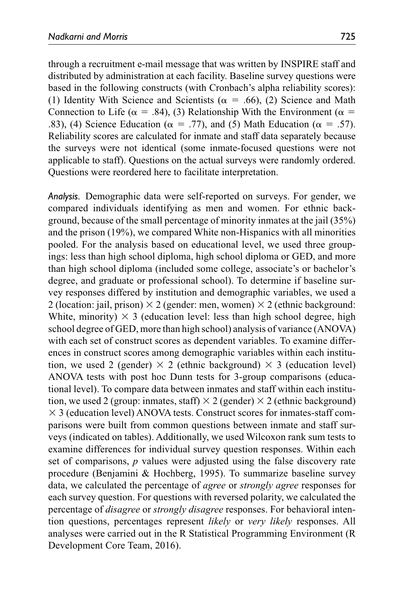through a recruitment e-mail message that was written by INSPIRE staff and distributed by administration at each facility. Baseline survey questions were based in the following constructs (with Cronbach's alpha reliability scores): (1) Identity With Science and Scientists ( $\alpha = .66$ ), (2) Science and Math Connection to Life ( $\alpha = .84$ ), (3) Relationship With the Environment ( $\alpha =$ .83), (4) Science Education ( $\alpha = .77$ ), and (5) Math Education ( $\alpha = .57$ ). Reliability scores are calculated for inmate and staff data separately because the surveys were not identical (some inmate-focused questions were not applicable to staff). Questions on the actual surveys were randomly ordered. Questions were reordered here to facilitate interpretation.

*Analysis.* Demographic data were self-reported on surveys. For gender, we compared individuals identifying as men and women. For ethnic background, because of the small percentage of minority inmates at the jail (35%) and the prison (19%), we compared White non-Hispanics with all minorities pooled. For the analysis based on educational level, we used three groupings: less than high school diploma, high school diploma or GED, and more than high school diploma (included some college, associate's or bachelor's degree, and graduate or professional school). To determine if baseline survey responses differed by institution and demographic variables, we used a 2 (location: jail, prison)  $\times$  2 (gender: men, women)  $\times$  2 (ethnic background: White, minority)  $\times$  3 (education level: less than high school degree, high school degree of GED, more than high school) analysis of variance (ANOVA) with each set of construct scores as dependent variables. To examine differences in construct scores among demographic variables within each institution, we used 2 (gender)  $\times$  2 (ethnic background)  $\times$  3 (education level) ANOVA tests with post hoc Dunn tests for 3-group comparisons (educational level). To compare data between inmates and staff within each institution, we used 2 (group: inmates, staff)  $\times$  2 (gender)  $\times$  2 (ethnic background)  $\times$  3 (education level) ANOVA tests. Construct scores for inmates-staff comparisons were built from common questions between inmate and staff surveys (indicated on tables). Additionally, we used Wilcoxon rank sum tests to examine differences for individual survey question responses. Within each set of comparisons, *p* values were adjusted using the false discovery rate procedure (Benjamini & Hochberg, 1995). To summarize baseline survey data, we calculated the percentage of *agree* or *strongly agree* responses for each survey question. For questions with reversed polarity, we calculated the percentage of *disagree* or *strongly disagree* responses. For behavioral intention questions, percentages represent *likely* or *very likely* responses. All analyses were carried out in the R Statistical Programming Environment (R Development Core Team, 2016).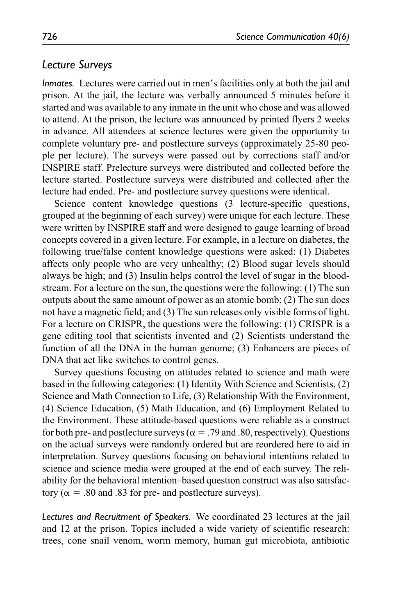### *Lecture Surveys*

*Inmates.* Lectures were carried out in men's facilities only at both the jail and prison. At the jail, the lecture was verbally announced 5 minutes before it started and was available to any inmate in the unit who chose and was allowed to attend. At the prison, the lecture was announced by printed flyers 2 weeks in advance. All attendees at science lectures were given the opportunity to complete voluntary pre- and postlecture surveys (approximately 25-80 people per lecture). The surveys were passed out by corrections staff and/or INSPIRE staff. Prelecture surveys were distributed and collected before the lecture started. Postlecture surveys were distributed and collected after the lecture had ended. Pre- and postlecture survey questions were identical.

Science content knowledge questions (3 lecture-specific questions, grouped at the beginning of each survey) were unique for each lecture. These were written by INSPIRE staff and were designed to gauge learning of broad concepts covered in a given lecture. For example, in a lecture on diabetes, the following true/false content knowledge questions were asked: (1) Diabetes affects only people who are very unhealthy; (2) Blood sugar levels should always be high; and (3) Insulin helps control the level of sugar in the bloodstream. For a lecture on the sun, the questions were the following: (1) The sun outputs about the same amount of power as an atomic bomb; (2) The sun does not have a magnetic field; and (3) The sun releases only visible forms of light. For a lecture on CRISPR, the questions were the following: (1) CRISPR is a gene editing tool that scientists invented and (2) Scientists understand the function of all the DNA in the human genome; (3) Enhancers are pieces of DNA that act like switches to control genes.

Survey questions focusing on attitudes related to science and math were based in the following categories: (1) Identity With Science and Scientists, (2) Science and Math Connection to Life, (3) Relationship With the Environment, (4) Science Education, (5) Math Education, and (6) Employment Related to the Environment. These attitude-based questions were reliable as a construct for both pre- and postlecture surveys ( $\alpha = .79$  and .80, respectively). Questions on the actual surveys were randomly ordered but are reordered here to aid in interpretation. Survey questions focusing on behavioral intentions related to science and science media were grouped at the end of each survey. The reliability for the behavioral intention–based question construct was also satisfactory ( $\alpha$  = .80 and .83 for pre- and postlecture surveys).

*Lectures and Recruitment of Speakers.* We coordinated 23 lectures at the jail and 12 at the prison. Topics included a wide variety of scientific research: trees, cone snail venom, worm memory, human gut microbiota, antibiotic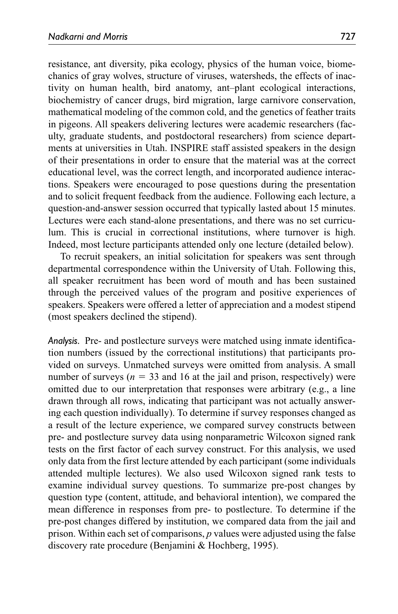resistance, ant diversity, pika ecology, physics of the human voice, biomechanics of gray wolves, structure of viruses, watersheds, the effects of inactivity on human health, bird anatomy, ant–plant ecological interactions, biochemistry of cancer drugs, bird migration, large carnivore conservation, mathematical modeling of the common cold, and the genetics of feather traits in pigeons. All speakers delivering lectures were academic researchers (faculty, graduate students, and postdoctoral researchers) from science departments at universities in Utah. INSPIRE staff assisted speakers in the design of their presentations in order to ensure that the material was at the correct educational level, was the correct length, and incorporated audience interactions. Speakers were encouraged to pose questions during the presentation and to solicit frequent feedback from the audience. Following each lecture, a question-and-answer session occurred that typically lasted about 15 minutes. Lectures were each stand-alone presentations, and there was no set curriculum. This is crucial in correctional institutions, where turnover is high. Indeed, most lecture participants attended only one lecture (detailed below).

To recruit speakers, an initial solicitation for speakers was sent through departmental correspondence within the University of Utah. Following this, all speaker recruitment has been word of mouth and has been sustained through the perceived values of the program and positive experiences of speakers. Speakers were offered a letter of appreciation and a modest stipend (most speakers declined the stipend).

*Analysis.* Pre- and postlecture surveys were matched using inmate identification numbers (issued by the correctional institutions) that participants provided on surveys. Unmatched surveys were omitted from analysis. A small number of surveys ( $n = 33$  and 16 at the jail and prison, respectively) were omitted due to our interpretation that responses were arbitrary (e.g., a line drawn through all rows, indicating that participant was not actually answering each question individually). To determine if survey responses changed as a result of the lecture experience, we compared survey constructs between pre- and postlecture survey data using nonparametric Wilcoxon signed rank tests on the first factor of each survey construct. For this analysis, we used only data from the first lecture attended by each participant (some individuals attended multiple lectures). We also used Wilcoxon signed rank tests to examine individual survey questions. To summarize pre-post changes by question type (content, attitude, and behavioral intention), we compared the mean difference in responses from pre- to postlecture. To determine if the pre-post changes differed by institution, we compared data from the jail and prison. Within each set of comparisons, *p* values were adjusted using the false discovery rate procedure (Benjamini & Hochberg, 1995).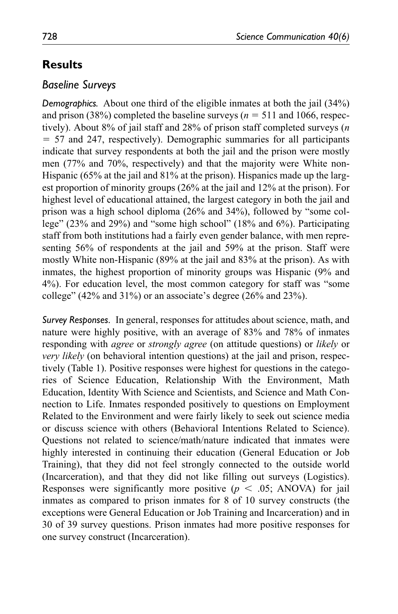# **Results**

## *Baseline Surveys*

*Demographics.* About one third of the eligible inmates at both the jail (34%) and prison (38%) completed the baseline surveys ( $n = 511$  and 1066, respectively). About 8% of jail staff and 28% of prison staff completed surveys (*n* = 57 and 247, respectively). Demographic summaries for all participants indicate that survey respondents at both the jail and the prison were mostly men (77% and 70%, respectively) and that the majority were White non-Hispanic (65% at the jail and 81% at the prison). Hispanics made up the largest proportion of minority groups (26% at the jail and 12% at the prison). For highest level of educational attained, the largest category in both the jail and prison was a high school diploma (26% and 34%), followed by "some college" (23% and 29%) and "some high school" (18% and 6%). Participating staff from both institutions had a fairly even gender balance, with men representing 56% of respondents at the jail and 59% at the prison. Staff were mostly White non-Hispanic (89% at the jail and 83% at the prison). As with inmates, the highest proportion of minority groups was Hispanic (9% and 4%). For education level, the most common category for staff was "some college" (42% and 31%) or an associate's degree (26% and 23%).

*Survey Responses.* In general, responses for attitudes about science, math, and nature were highly positive, with an average of 83% and 78% of inmates responding with *agree* or *strongly agree* (on attitude questions) or *likely* or *very likely* (on behavioral intention questions) at the jail and prison, respectively (Table 1). Positive responses were highest for questions in the categories of Science Education, Relationship With the Environment, Math Education, Identity With Science and Scientists, and Science and Math Connection to Life. Inmates responded positively to questions on Employment Related to the Environment and were fairly likely to seek out science media or discuss science with others (Behavioral Intentions Related to Science). Questions not related to science/math/nature indicated that inmates were highly interested in continuing their education (General Education or Job Training), that they did not feel strongly connected to the outside world (Incarceration), and that they did not like filling out surveys (Logistics). Responses were significantly more positive  $(p < .05;$  ANOVA) for jail inmates as compared to prison inmates for 8 of 10 survey constructs (the exceptions were General Education or Job Training and Incarceration) and in 30 of 39 survey questions. Prison inmates had more positive responses for one survey construct (Incarceration).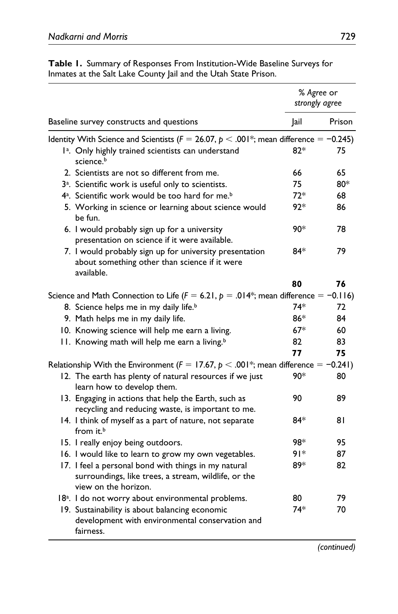| inmates at the sait Lake County jail and the Utan State Prison.                                                                      |                              |        |
|--------------------------------------------------------------------------------------------------------------------------------------|------------------------------|--------|
|                                                                                                                                      | % Agree or<br>strongly agree |        |
| Baseline survey constructs and questions                                                                                             | Jail                         | Prison |
| Identity With Science and Scientists ( $F = 26.07$ , $p < .001$ <sup>*</sup> ; mean difference = -0.245)                             |                              |        |
| 1 <sup>a</sup> . Only highly trained scientists can understand<br>science. <sup>b</sup>                                              | $82*$                        | 75     |
| 2. Scientists are not so different from me.                                                                                          | 66                           | 65     |
| 3 <sup>a</sup> . Scientific work is useful only to scientists.                                                                       | 75                           | 80*    |
| 4 <sup>a</sup> . Scientific work would be too hard for me. <sup>b</sup>                                                              | $72*$                        | 68     |
| 5. Working in science or learning about science would<br>be fun.                                                                     | 92*                          | 86     |
| 6. I would probably sign up for a university<br>presentation on science if it were available.                                        | 90*                          | 78     |
| 7. I would probably sign up for university presentation<br>about something other than science if it were<br>available.               | 84*                          | 79     |
|                                                                                                                                      | 80                           | 76     |
| Science and Math Connection to Life ( $F = 6.21$ , $p = .014$ <sup>*</sup> ; mean difference = -0.116)                               |                              |        |
| 8. Science helps me in my daily life. <sup>b</sup>                                                                                   | 74*                          | 72     |
| 9. Math helps me in my daily life.                                                                                                   | 86*                          | 84     |
| 10. Knowing science will help me earn a living.                                                                                      | $67*$                        | 60     |
| 11. Knowing math will help me earn a living. <sup>b</sup>                                                                            | 82                           | 83     |
|                                                                                                                                      | 77                           | 75     |
| Relationship With the Environment ( $F = 17.67$ , $p < .001$ <sup>*</sup> ; mean difference = -0.241)                                |                              |        |
| 12. The earth has plenty of natural resources if we just<br>learn how to develop them.                                               | 90*                          | 80     |
| 13. Engaging in actions that help the Earth, such as<br>recycling and reducing waste, is important to me.                            | 90                           | 89     |
| 14. I think of myself as a part of nature, not separate<br>from it. <sup>b</sup>                                                     | 84*                          | 81     |
| 15. I really enjoy being outdoors.                                                                                                   | 98*                          | 95     |
| 16. I would like to learn to grow my own vegetables.                                                                                 | ∗۱۶                          | 87     |
| 17. I feel a personal bond with things in my natural<br>surroundings, like trees, a stream, wildlife, or the<br>view on the horizon. | 89*                          | 82     |
| 18 <sup>a</sup> . I do not worry about environmental problems.                                                                       | 80                           | 79     |
| 19. Sustainability is about balancing economic<br>development with environmental conservation and<br>fairness.                       | 74*                          | 70     |

**Table 1.** Summary of Responses From Institution-Wide Baseline Surveys for Inmates at the Salt Lake County Jail and the Utah State Prison.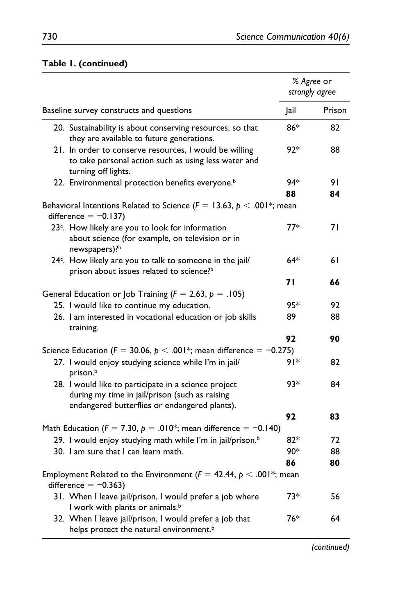|                                                                                                                                                         |       | % Agree or<br>strongly agree |
|---------------------------------------------------------------------------------------------------------------------------------------------------------|-------|------------------------------|
| Baseline survey constructs and questions                                                                                                                | Jail  | Prison                       |
| 20. Sustainability is about conserving resources, so that<br>they are available to future generations.                                                  | 86*   | 82                           |
| 21. In order to conserve resources, I would be willing<br>to take personal action such as using less water and<br>turning off lights.                   | $92*$ | 88                           |
| 22. Environmental protection benefits everyone. <sup>b</sup>                                                                                            | 94*   | 91                           |
|                                                                                                                                                         | 88    | 84                           |
| Behavioral Intentions Related to Science ( $F = 13.63$ , $p < .001$ <sup>*</sup> ; mean<br>difference $= -0.137$ )                                      |       |                              |
| 23 <sup>c</sup> . How likely are you to look for information<br>about science (for example, on television or in<br>newspapers)?b                        | $77*$ | 71                           |
| 24 <sup>c</sup> . How likely are you to talk to someone in the jail/<br>prison about issues related to science? <sup>b</sup>                            | $64*$ | 61                           |
|                                                                                                                                                         | 71    | 66                           |
| General Education or Job Training ( $F = 2.63$ , $p = .105$ )                                                                                           |       |                              |
| 25. I would like to continue my education.                                                                                                              | 95*   | 92                           |
| 26. I am interested in vocational education or job skills<br>training.                                                                                  | 89    | 88                           |
|                                                                                                                                                         | 92    | 90                           |
| Science Education ( $F = 30.06$ , $p < .001$ <sup>*</sup> ; mean difference = -0.275)                                                                   |       |                              |
| 27. I would enjoy studying science while I'm in jail/<br>prison. <sup>b</sup>                                                                           | 91*   | 82                           |
| 28. I would like to participate in a science project<br>during my time in jail/prison (such as raising<br>endangered butterflies or endangered plants). | 93*   | 84                           |
|                                                                                                                                                         | 92    | 83                           |
| Math Education ( $F = 7.30$ , $p = .010^*$ ; mean difference = -0.140)                                                                                  |       |                              |
| 29. I would enjoy studying math while I'm in jail/prison. <sup>b</sup>                                                                                  | $82*$ | 72                           |
| 30. I am sure that I can learn math.                                                                                                                    | 90*   | 88                           |
|                                                                                                                                                         | 86    | 80                           |
| Employment Related to the Environment ( $F = 42.44$ , $p < .001$ <sup>*</sup> ; mean<br>difference = $-0.363$ )                                         |       |                              |
| 31. When I leave jail/prison, I would prefer a job where<br>I work with plants or animals. <sup>b</sup>                                                 | 73*   | 56                           |
| 32. When I leave jail/prison, I would prefer a job that<br>helps protect the natural environment. <sup>b</sup>                                          | 76*   | 64                           |

## **Table 1. (continued)**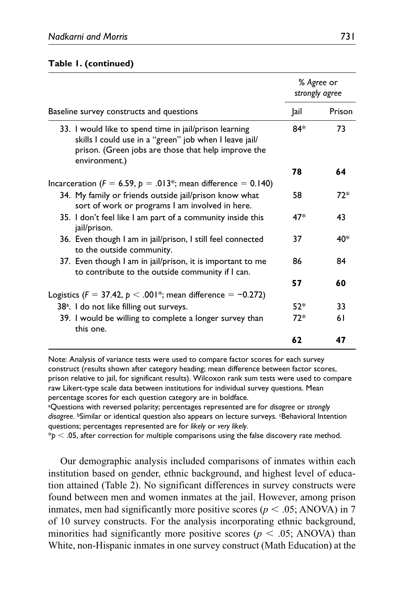#### **Table 1. (continued)**

|                                                                                                                                                                                          |       | % Agree or<br>strongly agree |
|------------------------------------------------------------------------------------------------------------------------------------------------------------------------------------------|-------|------------------------------|
| Baseline survey constructs and questions                                                                                                                                                 | Jail  | Prison                       |
| 33. I would like to spend time in jail/prison learning<br>skills I could use in a "green" job when I leave jail/<br>prison. (Green jobs are those that help improve the<br>environment.) | $84*$ | 73                           |
|                                                                                                                                                                                          | 78    | 64                           |
| Incarceration ( $F = 6.59$ , $p = .013$ *; mean difference = 0.140)                                                                                                                      |       |                              |
| 34. My family or friends outside jail/prison know what<br>sort of work or programs I am involved in here.                                                                                | 58    | 72*                          |
| 35. I don't feel like I am part of a community inside this<br>jail/prison.                                                                                                               | $47*$ | 43                           |
| 36. Even though I am in jail/prison, I still feel connected<br>to the outside community.                                                                                                 | 37    | 40*                          |
| 37. Even though I am in jail/prison, it is important to me<br>to contribute to the outside community if I can.                                                                           | 86    | 84                           |
|                                                                                                                                                                                          | 57    | 60                           |
| Logistics ( $F = 37.42$ , $p < .001$ <sup>*</sup> ; mean difference = -0.272)                                                                                                            |       |                              |
| 38 <sup>a</sup> . I do not like filling out surveys.                                                                                                                                     | $52*$ | 33                           |
| 39. I would be willing to complete a longer survey than<br>this one.                                                                                                                     | $72*$ | 61                           |
|                                                                                                                                                                                          | 62    | 47                           |

Note: Analysis of variance tests were used to compare factor scores for each survey construct (results shown after category heading; mean difference between factor scores, prison relative to jail, for significant results). Wilcoxon rank sum tests were used to compare raw Likert-type scale data between institutions for individual survey questions. Mean percentage scores for each question category are in boldface.

a Questions with reversed polarity; percentages represented are for *disagree* or *strongly*  disagree. <sup>b</sup>Similar or identical question also appears on lecture surveys. <sup>c</sup>Behavioral Intention questions; percentages represented are for *likely* or *very likely*.

 $*_p$   $<$  .05, after correction for multiple comparisons using the false discovery rate method.

Our demographic analysis included comparisons of inmates within each institution based on gender, ethnic background, and highest level of education attained (Table 2). No significant differences in survey constructs were found between men and women inmates at the jail. However, among prison inmates, men had significantly more positive scores ( $p < .05$ ; ANOVA) in 7 of 10 survey constructs. For the analysis incorporating ethnic background, minorities had significantly more positive scores ( $p < .05$ ; ANOVA) than White, non-Hispanic inmates in one survey construct (Math Education) at the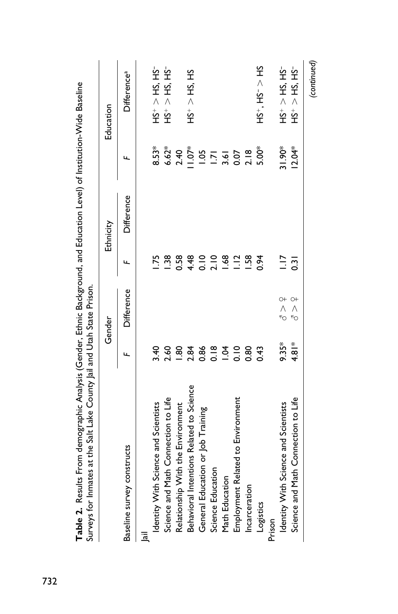| Table 2. Results From demographic Analysis (Gender, Ethnic Background, and Education Level) of Institution-Wide Baseline<br>Surveys for Inmates at the Salt Lake County Jail and Utah State Prison. |                |                           |                 |            |                |                                                    |
|-----------------------------------------------------------------------------------------------------------------------------------------------------------------------------------------------------|----------------|---------------------------|-----------------|------------|----------------|----------------------------------------------------|
|                                                                                                                                                                                                     |                | Gender                    |                 | Ethnicity  |                | Education                                          |
| Baseline survey constructs                                                                                                                                                                          |                | Difference                | щ               | Difference |                | <b>Difference</b> a                                |
| <u>ia</u>                                                                                                                                                                                           |                |                           |                 |            |                |                                                    |
| Identity With Science and Scientists                                                                                                                                                                | 3.40           |                           | $\frac{75}{2}$  |            | $8.53*$        | $S_{\text{L}}$ is $S_{\text{L}}$ is $S_{\text{L}}$ |
| Science and Math Connection to Life                                                                                                                                                                 | 2.60           |                           | $\frac{38}{2}$  |            | $6.62*$        | $HS^+ > HS$ , $HS^-$                               |
| Relationship With the Environment                                                                                                                                                                   | $\frac{8}{3}$  |                           | 0.58            |            | 2.40           |                                                    |
| Behavioral Intentions Related to Science                                                                                                                                                            | 2.84           |                           | 4.48            |            | $5 + 0.1$      | $HS^+ > HS$ , HS                                   |
| General Education or Job Training                                                                                                                                                                   | 0.86           |                           | $rac{0}{0}$     |            | 1.05           |                                                    |
| Science Education                                                                                                                                                                                   | $\frac{8}{10}$ |                           | 2.10            |            | $\overline{5}$ |                                                    |
| Math Education                                                                                                                                                                                      | $\overline{5}$ |                           | 1.68            |            | 3.61           |                                                    |
| Employment Related to Environment                                                                                                                                                                   | 0.10           |                           | $\frac{12}{1}$  |            | 0.07           |                                                    |
| Incarceration                                                                                                                                                                                       | 0.80           |                           | $\frac{158}{2}$ |            | 2.18           |                                                    |
| Logistics                                                                                                                                                                                           | 0.43           |                           | 0.94            |            | 5.00*          | $HS^+$ , $HS^ \sim$                                |
| Prison                                                                                                                                                                                              |                |                           |                 |            |                |                                                    |
| Identity With Science and Scientists                                                                                                                                                                | $9.35*$        | $\alpha^+$                | $\frac{1}{2}$   |            | 31.90*         | $HS^+ > HS$ , $HS^-$                               |
| Science and Math Connection to Life                                                                                                                                                                 | $4.81*$        | $\circ$<br>$\wedge$<br>۴Ó | $\overline{5}$  |            | $12.04*$       | $HS^+ > HS$ , HS-                                  |
|                                                                                                                                                                                                     |                |                           |                 |            |                | (continued)                                        |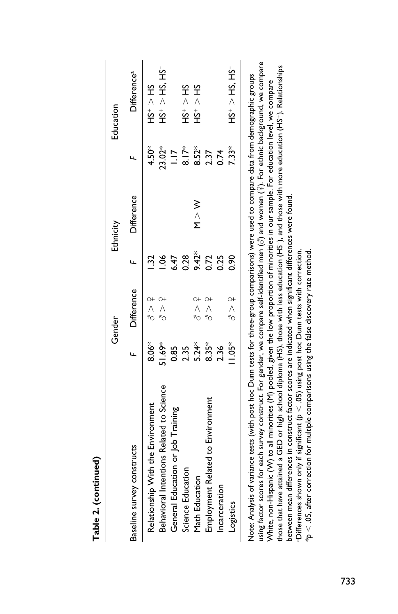|                                          |           | Gender        |       | Ethnicity               |                  | Education                                  |
|------------------------------------------|-----------|---------------|-------|-------------------------|------------------|--------------------------------------------|
| Baseline survey constructs               |           | Difference    |       | Difference              |                  | <b>Difference</b> <sup>a</sup>             |
| Relationship With the Environment        | &<br>8.06 | みへん           |       |                         | $4.50*$          | SPI < PI                                   |
| Behavioral Intentions Related to Science | 369.16    | 9 N<br>6      |       |                         | 23.02*           | $-55^{\circ}$ + $-55^{\circ}$              |
| General Education or Job Training        | 0.85      |               | 6.47  |                         | $\frac{1}{2}$    |                                            |
| Science Education                        | 2.35      |               | 0.28  |                         | $\sum_{i=1}^{8}$ | SPI < 5H                                   |
| Math Education                           | $5.24*$   | りくた           | 9.42* | $\geqslant$ $\geqslant$ | 8.52*            | $5+5+5$                                    |
| Employment Related to Environment        | $8.35*$   | し、<br>へ<br>�  | 0.72  |                         | 2.37             |                                            |
| Incarceration                            | 2.36      |               | 0.25  |                         | 0.74             |                                            |
| Logistics                                | $1.05*$   | $\frac{1}{6}$ | 8.0   |                         | $7.33*$          | $S_{\rm T}$ $S_{\rm T}$ $\sim$ $S_{\rm T}$ |

Table 2. (continued) **Table 2. (continued)**

using factor scores for each survey construct. For gender, we compare self-identified men (♂) and women (♀). For ethnic background, we compare those that have attained a GED or high school diploma (HS), those with less education (HS−), and those with more education (HS+). Relationships those that have attained a GED or high school diploma (HS), those with less education (HS<sup>-</sup>), and those with more education (HS<sup>+</sup>). Relationships Note: Analysis of variance tests (with post hoc Dunn tests for three-group comparisons) were used to compare data from demographic groups White, non-Hispanic (W) to all minorities (M) pooled, given the low proportion of minorities in our sample. For education level, we compare between mean differences in construct factor scores are indicated when significant differences were found. between mean differences in construct factor scores are indicated when significant differences were found. aDifferences shown only if significant ( $\mathfrak{b} < .05$ ) using post hoc Dunn tests with correction.  $*p < .05$ , after correction for multiple comparisons using the false discovery rate method. aDifferences shown only if significant (*p* < .05) using post hoc Dunn tests with correction.  $*_\mathcal{P} < .05$ , after correction for multiple comparisons using the false discovery rate method.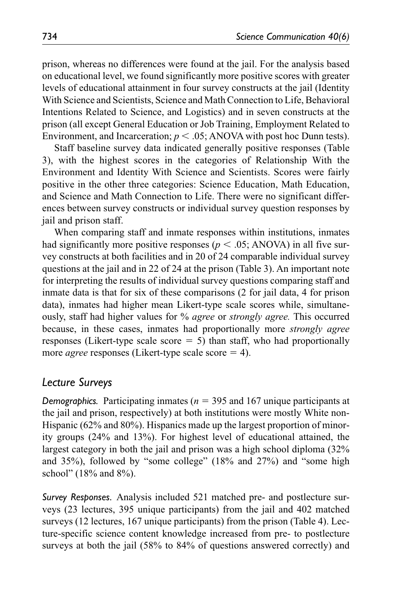prison, whereas no differences were found at the jail. For the analysis based on educational level, we found significantly more positive scores with greater levels of educational attainment in four survey constructs at the jail (Identity With Science and Scientists, Science and Math Connection to Life, Behavioral Intentions Related to Science, and Logistics) and in seven constructs at the prison (all except General Education or Job Training, Employment Related to Environment, and Incarceration;  $p < .05$ ; ANOVA with post hoc Dunn tests).

Staff baseline survey data indicated generally positive responses (Table 3), with the highest scores in the categories of Relationship With the Environment and Identity With Science and Scientists. Scores were fairly positive in the other three categories: Science Education, Math Education, and Science and Math Connection to Life. There were no significant differences between survey constructs or individual survey question responses by jail and prison staff.

When comparing staff and inmate responses within institutions, inmates had significantly more positive responses ( $p < .05$ ; ANOVA) in all five survey constructs at both facilities and in 20 of 24 comparable individual survey questions at the jail and in 22 of 24 at the prison (Table 3). An important note for interpreting the results of individual survey questions comparing staff and inmate data is that for six of these comparisons (2 for jail data, 4 for prison data), inmates had higher mean Likert-type scale scores while, simultaneously, staff had higher values for % *agree* or *strongly agree.* This occurred because, in these cases, inmates had proportionally more *strongly agree* responses (Likert-type scale score  $= 5$ ) than staff, who had proportionally more *agree* responses (Likert-type scale score = 4).

## *Lecture Surveys*

*Demographics.* Participating inmates (*n* = 395 and 167 unique participants at the jail and prison, respectively) at both institutions were mostly White non-Hispanic (62% and 80%). Hispanics made up the largest proportion of minority groups (24% and 13%). For highest level of educational attained, the largest category in both the jail and prison was a high school diploma (32% and 35%), followed by "some college" (18% and 27%) and "some high school" (18% and 8%).

*Survey Responses.* Analysis included 521 matched pre- and postlecture surveys (23 lectures, 395 unique participants) from the jail and 402 matched surveys (12 lectures, 167 unique participants) from the prison (Table 4). Lecture-specific science content knowledge increased from pre- to postlecture surveys at both the jail (58% to 84% of questions answered correctly) and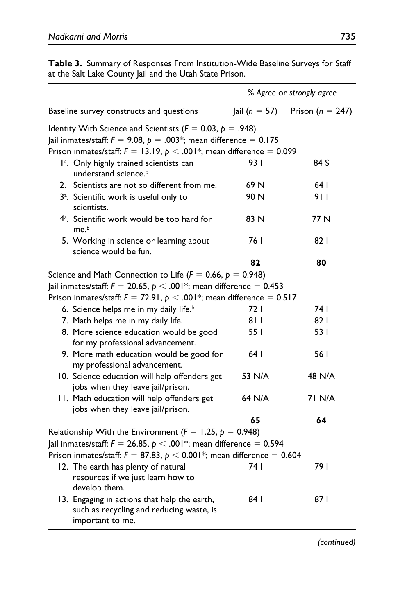|                                                                                                                                                                                                                                     | % Agree or strongly agree |                      |  |  |
|-------------------------------------------------------------------------------------------------------------------------------------------------------------------------------------------------------------------------------------|---------------------------|----------------------|--|--|
| Baseline survey constructs and questions                                                                                                                                                                                            | $ ail (n = 57) $          | Prison ( $n = 247$ ) |  |  |
| Identity With Science and Scientists ( $F = 0.03$ , $p = .948$ )<br>Jail inmates/staff: $F = 9.08$ , $p = .003$ *; mean difference = 0.175<br>Prison inmates/staff: $F = 13.19$ , $p < .001$ <sup>*</sup> ; mean difference = 0.099 |                           |                      |  |  |
| l <sup>a</sup> . Only highly trained scientists can<br>understand science. <sup>b</sup>                                                                                                                                             | 93 I                      | 84 S                 |  |  |
| 2. Scientists are not so different from me.                                                                                                                                                                                         | 69 N                      | 64 I                 |  |  |
| 3 <sup>a</sup> . Scientific work is useful only to<br>scientists.                                                                                                                                                                   | 90 N                      | 9 I I                |  |  |
| 4 <sup>a</sup> . Scientific work would be too hard for<br>me. <sup>b</sup>                                                                                                                                                          | 83 N                      | 77 N                 |  |  |
| 5. Working in science or learning about<br>science would be fun.                                                                                                                                                                    | 76 I                      | 82 I                 |  |  |
|                                                                                                                                                                                                                                     | 82                        | 80                   |  |  |
| Science and Math Connection to Life ( $F = 0.66$ , $p = 0.948$ )                                                                                                                                                                    |                           |                      |  |  |
| Jail inmates/staff: $F = 20.65$ , $p < .001$ *; mean difference = 0.453                                                                                                                                                             |                           |                      |  |  |
| Prison inmates/staff: $F = 72.91$ , $p < .001$ <sup>*</sup> ; mean difference = 0.517                                                                                                                                               |                           |                      |  |  |
| 6. Science helps me in my daily life. <sup>b</sup>                                                                                                                                                                                  | 72 I                      | 74 I                 |  |  |
| 7. Math helps me in my daily life.                                                                                                                                                                                                  | 8 I I                     | 82 I                 |  |  |
| 8. More science education would be good<br>for my professional advancement.                                                                                                                                                         | 55 I                      | 53 I                 |  |  |
| 9. More math education would be good for<br>my professional advancement.                                                                                                                                                            | 64 I                      | 56 I                 |  |  |
| 10. Science education will help offenders get<br>jobs when they leave jail/prison.                                                                                                                                                  | 53 N/A                    | 48 N/A               |  |  |
| 11. Math education will help offenders get<br>jobs when they leave jail/prison.                                                                                                                                                     | 64 N/A                    | 71 N/A               |  |  |
|                                                                                                                                                                                                                                     | 65                        | 64                   |  |  |
| Relationship With the Environment ( $F = 1.25$ , $p = 0.948$ )                                                                                                                                                                      |                           |                      |  |  |
| Jail inmates/staff: $F = 26.85$ , $p < .001$ <sup>*</sup> ; mean difference = 0.594                                                                                                                                                 |                           |                      |  |  |
| Prison inmates/staff: $F = 87.83$ , $p < 0.001$ <sup>*</sup> ; mean difference = 0.604                                                                                                                                              |                           |                      |  |  |
| 12. The earth has plenty of natural<br>resources if we just learn how to<br>develop them.                                                                                                                                           | 74 I                      | 79 I                 |  |  |
| 13. Engaging in actions that help the earth,<br>such as recycling and reducing waste, is<br>important to me.                                                                                                                        | 84 I                      | 87 I                 |  |  |

**Table 3.** Summary of Responses From Institution-Wide Baseline Surveys for Staff at the Salt Lake County Jail and the Utah State Prison.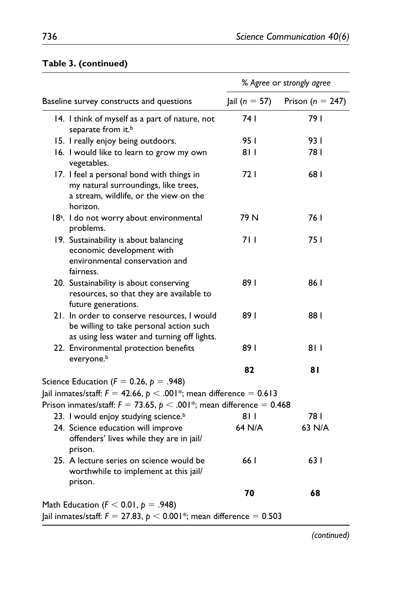|                                                                                                                                                                                                                   | % Agree or strongly agree |                      |  |  |
|-------------------------------------------------------------------------------------------------------------------------------------------------------------------------------------------------------------------|---------------------------|----------------------|--|--|
| Baseline survey constructs and questions                                                                                                                                                                          | Jail ( $n = 57$ )         | Prison ( $n = 247$ ) |  |  |
| 14. I think of myself as a part of nature, not<br>separate from it. <sup>b</sup>                                                                                                                                  | 74 I                      | 79 I                 |  |  |
| 15. I really enjoy being outdoors.                                                                                                                                                                                | 95 I                      | 93 I                 |  |  |
| 16. I would like to learn to grow my own<br>vegetables.                                                                                                                                                           | 811                       | 781                  |  |  |
| 17. I feel a personal bond with things in<br>my natural surroundings, like trees,<br>a stream, wildlife, or the view on the<br>horizon.                                                                           | 72 I                      | 681                  |  |  |
| 18 <sup>a</sup> . I do not worry about environmental<br>problems.                                                                                                                                                 | 79 N                      | 76 I                 |  |  |
| 19. Sustainability is about balancing<br>economic development with<br>environmental conservation and<br>fairness.                                                                                                 | 7 I I                     | 75 I                 |  |  |
| 20. Sustainability is about conserving<br>resources, so that they are available to<br>future generations.                                                                                                         | 89 I                      | 86 I                 |  |  |
| 21. In order to conserve resources, I would<br>be willing to take personal action such<br>as using less water and turning off lights.                                                                             | 891                       | 88 I                 |  |  |
| 22. Environmental protection benefits<br>everyone. <sup>b</sup>                                                                                                                                                   | 891                       | 811                  |  |  |
|                                                                                                                                                                                                                   | 82                        | 81                   |  |  |
| Science Education ( $F = 0.26$ , $p = .948$ )<br>Jail inmates/staff: $F = 42.66$ , $p < .001$ *; mean difference = 0.613<br>Prison inmates/staff: $F = 73.65$ , $p < .001$ <sup>*</sup> ; mean difference = 0.468 |                           |                      |  |  |
| 23. I would enjoy studying science. <sup>b</sup>                                                                                                                                                                  | 8 I I                     | 781                  |  |  |
| 24. Science education will improve<br>offenders' lives while they are in jail/<br>prison.                                                                                                                         | 64 N/A                    | 63 N/A               |  |  |
| 25. A lecture series on science would be<br>worthwhile to implement at this jail/<br>prison.                                                                                                                      | 66 I                      | 63 I                 |  |  |
|                                                                                                                                                                                                                   | 70                        | 68                   |  |  |
| Math Education ( $F < 0.01$ , $p = .948$ )                                                                                                                                                                        |                           |                      |  |  |
| Jail inmates/staff: $F = 27.83$ , $p < 0.001*$ ; mean difference $= 0.503$                                                                                                                                        |                           |                      |  |  |

## **Table 3. (continued)**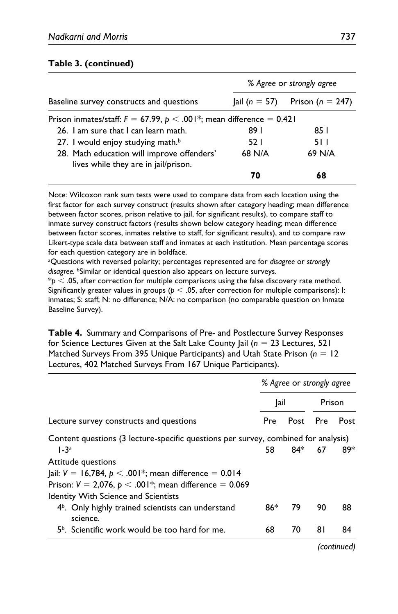### **Table 3. (continued)**

|                                                                                      | % Agree or strongly agree |        |  |  |  |
|--------------------------------------------------------------------------------------|---------------------------|--------|--|--|--|
| Baseline survey constructs and questions<br>Prison ( $n = 247$ )<br>$ ail (n = 57) $ |                           |        |  |  |  |
| Prison inmates/staff: $F = 67.99$ , $p < .001$ *; mean difference = 0.421            |                           |        |  |  |  |
| 26. Lam sure that Lean learn math.                                                   | 89 I<br>85 I              |        |  |  |  |
| 27. I would enjoy studying math. <sup>b</sup>                                        | 52 I                      | 5 I I  |  |  |  |
| 28. Math education will improve offenders'<br>lives while they are in jail/prison.   | 68 N/A                    | 69 N/A |  |  |  |
|                                                                                      | 70                        | 68     |  |  |  |

Note: Wilcoxon rank sum tests were used to compare data from each location using the first factor for each survey construct (results shown after category heading; mean difference between factor scores, prison relative to jail, for significant results), to compare staff to inmate survey construct factors (results shown below category heading; mean difference between factor scores, inmates relative to staff, for significant results), and to compare raw Likert-type scale data between staff and inmates at each institution. Mean percentage scores for each question category are in boldface.

a Questions with reversed polarity; percentages represented are for *disagree* or *strongly disagree.* bSimilar or identical question also appears on lecture surveys.

 $*p < 0.05$ , after correction for multiple comparisons using the false discovery rate method. Significantly greater values in groups ( $p < .05$ , after correction for multiple comparisons): I: inmates; S: staff; N: no difference; N/A: no comparison (no comparable question on Inmate Baseline Survey).

**Table 4.** Summary and Comparisons of Pre- and Postlecture Survey Responses for Science Lectures Given at the Salt Lake County Jail (*n* = 23 Lectures, 521 Matched Surveys From 395 Unique Participants) and Utah State Prison (*n* = 12 Lectures, 402 Matched Surveys From 167 Unique Participants).

|                                                                                    | % Agree or strongly agree |          |        |      |
|------------------------------------------------------------------------------------|---------------------------|----------|--------|------|
|                                                                                    | Jail                      |          | Prison |      |
| Lecture survey constructs and questions                                            | Pre                       | Post Pre |        | Post |
| Content questions (3 lecture-specific questions per survey, combined for analysis) |                           |          |        |      |
| $1-3a$                                                                             | 58.                       | 84*      | 67     | 89*  |
| Attitude questions                                                                 |                           |          |        |      |
| ail: $V = 16,784, p < .001$ *; mean difference = 0.014                             |                           |          |        |      |
| Prison: $V = 2,076$ , $p < .001$ <sup>*</sup> ; mean difference = 0.069            |                           |          |        |      |
| Identity With Science and Scientists                                               |                           |          |        |      |
| $4b$ . Only highly trained scientists can understand<br>science.                   | 86*                       | 79       | 90     | 88   |
| 5 <sup>b</sup> . Scientific work would be too hard for me.                         | 68                        | 70       | 81     | 84   |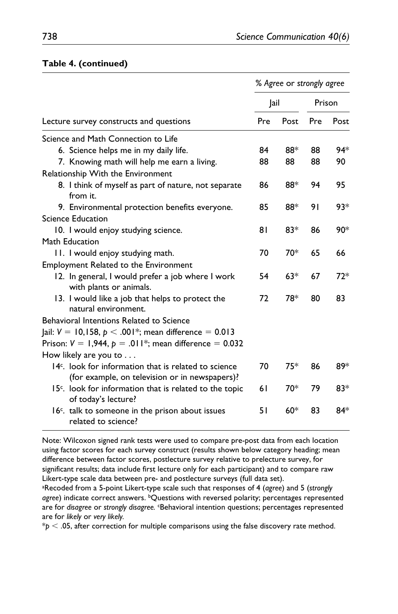|                                                                                                           |      | % Agree or strongly agree |        |       |
|-----------------------------------------------------------------------------------------------------------|------|---------------------------|--------|-------|
|                                                                                                           | Jail |                           | Prison |       |
| Lecture survey constructs and questions                                                                   | Pre  | Post                      | Pre    | Post  |
| Science and Math Connection to Life                                                                       |      |                           |        |       |
| 6. Science helps me in my daily life.                                                                     | 84   | 88*                       | 88     | 94*   |
| 7. Knowing math will help me earn a living.                                                               | 88   | 88                        | 88     | 90    |
| Relationship With the Environment                                                                         |      |                           |        |       |
| 8. I think of myself as part of nature, not separate<br>from it.                                          | 86   | 88*                       | 94     | 95    |
| 9. Environmental protection benefits everyone.                                                            | 85   | 88*                       | 91     | $93*$ |
| Science Education                                                                                         |      |                           |        |       |
| 10. I would enjoy studying science.                                                                       | 81   | $83*$                     | 86     | 90*   |
| Math Education                                                                                            |      |                           |        |       |
| 11. I would enjoy studying math.                                                                          | 70   | 70*                       | 65     | 66    |
| Employment Related to the Environment                                                                     |      |                           |        |       |
| 12. In general, I would prefer a job where I work<br>with plants or animals.                              | 54   | $63*$                     | 67     | $72*$ |
| 13. I would like a job that helps to protect the<br>natural environment.                                  | 72   | 78*                       | 80     | 83    |
| Behavioral Intentions Related to Science                                                                  |      |                           |        |       |
| Jail: $V = 10,158, p < .001*$ ; mean difference = 0.013                                                   |      |                           |        |       |
| Prison: $V = 1,944$ , $p = .011$ <sup>*</sup> ; mean difference = 0.032                                   |      |                           |        |       |
| How likely are you to $\dots$                                                                             |      |                           |        |       |
| $14c$ . look for information that is related to science<br>(for example, on television or in newspapers)? | 70   | 75*                       | 86     | 89*   |
| 15 <sup>c</sup> . look for information that is related to the topic<br>of today's lecture?                | 61   | 70*                       | 79     | $83*$ |
| 16 <sup>c</sup> . talk to someone in the prison about issues<br>related to science?                       | 51   | $60*$                     | 83     | 84*   |

#### **Table 4. (continued)**

Note: Wilcoxon signed rank tests were used to compare pre-post data from each location using factor scores for each survey construct (results shown below category heading; mean difference between factor scores, postlecture survey relative to prelecture survey, for significant results; data include first lecture only for each participant) and to compare raw Likert-type scale data between pre- and postlecture surveys (full data set).

a Recoded from a 5-point Likert-type scale such that responses of 4 (*agree*) and 5 (*strongly*  agree) indicate correct answers. <sup>b</sup>Questions with reversed polarity; percentages represented are for *disagree* or *strongly disagree.* cBehavioral intention questions; percentages represented are for *likely* or *very likely.*

 $*p < .05$ , after correction for multiple comparisons using the false discovery rate method.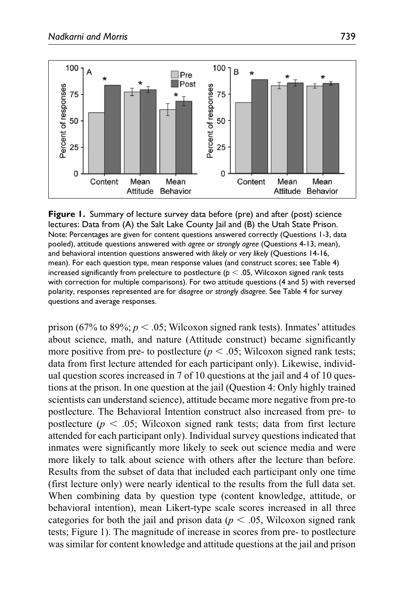

**Figure 1.** Summary of lecture survey data before (pre) and after (post) science lectures: Data from (A) the Salt Lake County Jail and (B) the Utah State Prison. Note: Percentages are given for content questions answered correctly (Questions 1-3, data pooled), attitude questions answered with *agree* or *strongly agree* (Questions 4-13, mean), and behavioral intention questions answered with *likely* or *very likely* (Questions 14-16, mean). For each question type, mean response values (and construct scores; see Table 4) increased significantly from prelecture to postlecture ( $p < .05$ , Wilcoxon signed rank tests with correction for multiple comparisons). For two attitude questions (4 and 5) with reversed polarity, responses represented are for *disagree* or *strongly disagree*. See Table 4 for survey questions and average responses.

prison (67% to 89%;  $p < .05$ ; Wilcoxon signed rank tests). Inmates' attitudes about science, math, and nature (Attitude construct) became significantly more positive from pre- to postlecture ( $p < .05$ ; Wilcoxon signed rank tests; data from first lecture attended for each participant only). Likewise, individual question scores increased in 7 of 10 questions at the jail and 4 of 10 questions at the prison. In one question at the jail (Question 4: Only highly trained scientists can understand science), attitude became more negative from pre-to postlecture. The Behavioral Intention construct also increased from pre- to postlecture ( $p < .05$ ; Wilcoxon signed rank tests; data from first lecture attended for each participant only). Individual survey questions indicated that inmates were significantly more likely to seek out science media and were more likely to talk about science with others after the lecture than before. Results from the subset of data that included each participant only one time (first lecture only) were nearly identical to the results from the full data set. When combining data by question type (content knowledge, attitude, or behavioral intention), mean Likert-type scale scores increased in all three categories for both the jail and prison data ( $p < .05$ , Wilcoxon signed rank tests; Figure 1). The magnitude of increase in scores from pre- to postlecture was similar for content knowledge and attitude questions at the jail and prison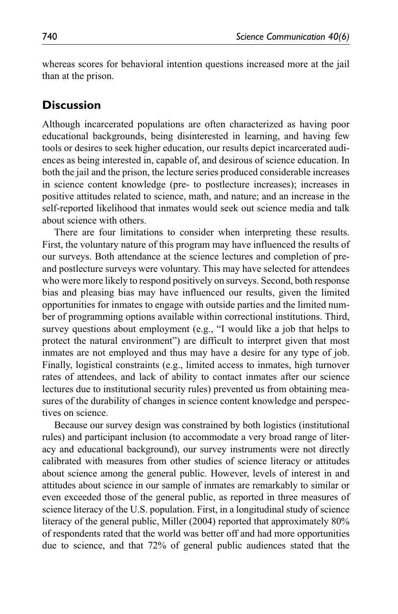whereas scores for behavioral intention questions increased more at the jail than at the prison.

## **Discussion**

Although incarcerated populations are often characterized as having poor educational backgrounds, being disinterested in learning, and having few tools or desires to seek higher education, our results depict incarcerated audiences as being interested in, capable of, and desirous of science education. In both the jail and the prison, the lecture series produced considerable increases in science content knowledge (pre- to postlecture increases); increases in positive attitudes related to science, math, and nature; and an increase in the self-reported likelihood that inmates would seek out science media and talk about science with others.

There are four limitations to consider when interpreting these results. First, the voluntary nature of this program may have influenced the results of our surveys. Both attendance at the science lectures and completion of preand postlecture surveys were voluntary. This may have selected for attendees who were more likely to respond positively on surveys. Second, both response bias and pleasing bias may have influenced our results, given the limited opportunities for inmates to engage with outside parties and the limited number of programming options available within correctional institutions. Third, survey questions about employment (e.g., "I would like a job that helps to protect the natural environment") are difficult to interpret given that most inmates are not employed and thus may have a desire for any type of job. Finally, logistical constraints (e.g., limited access to inmates, high turnover rates of attendees, and lack of ability to contact inmates after our science lectures due to institutional security rules) prevented us from obtaining measures of the durability of changes in science content knowledge and perspectives on science.

Because our survey design was constrained by both logistics (institutional rules) and participant inclusion (to accommodate a very broad range of literacy and educational background), our survey instruments were not directly calibrated with measures from other studies of science literacy or attitudes about science among the general public. However, levels of interest in and attitudes about science in our sample of inmates are remarkably to similar or even exceeded those of the general public, as reported in three measures of science literacy of the U.S. population. First, in a longitudinal study of science literacy of the general public, Miller (2004) reported that approximately 80% of respondents rated that the world was better off and had more opportunities due to science, and that 72% of general public audiences stated that the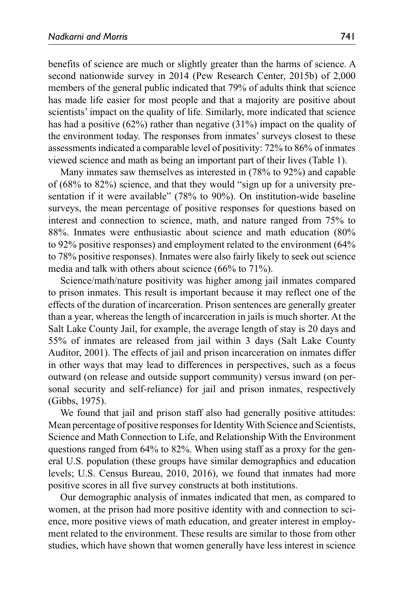benefits of science are much or slightly greater than the harms of science. A second nationwide survey in 2014 (Pew Research Center, 2015b) of 2,000 members of the general public indicated that 79% of adults think that science has made life easier for most people and that a majority are positive about scientists' impact on the quality of life. Similarly, more indicated that science has had a positive (62%) rather than negative (31%) impact on the quality of the environment today. The responses from inmates' surveys closest to these assessments indicated a comparable level of positivity: 72% to 86% of inmates viewed science and math as being an important part of their lives (Table 1).

Many inmates saw themselves as interested in (78% to 92%) and capable of (68% to 82%) science, and that they would "sign up for a university presentation if it were available" (78% to 90%). On institution-wide baseline surveys, the mean percentage of positive responses for questions based on interest and connection to science, math, and nature ranged from 75% to 88%. Inmates were enthusiastic about science and math education (80% to 92% positive responses) and employment related to the environment (64% to 78% positive responses). Inmates were also fairly likely to seek out science media and talk with others about science (66% to 71%).

Science/math/nature positivity was higher among jail inmates compared to prison inmates. This result is important because it may reflect one of the effects of the duration of incarceration. Prison sentences are generally greater than a year, whereas the length of incarceration in jails is much shorter. At the Salt Lake County Jail, for example, the average length of stay is 20 days and 55% of inmates are released from jail within 3 days (Salt Lake County Auditor, 2001). The effects of jail and prison incarceration on inmates differ in other ways that may lead to differences in perspectives, such as a focus outward (on release and outside support community) versus inward (on personal security and self-reliance) for jail and prison inmates, respectively (Gibbs, 1975).

We found that jail and prison staff also had generally positive attitudes: Mean percentage of positive responses for Identity With Science and Scientists, Science and Math Connection to Life, and Relationship With the Environment questions ranged from 64% to 82%. When using staff as a proxy for the general U.S. population (these groups have similar demographics and education levels; U.S. Census Bureau, 2010, 2016), we found that inmates had more positive scores in all five survey constructs at both institutions.

Our demographic analysis of inmates indicated that men, as compared to women, at the prison had more positive identity with and connection to science, more positive views of math education, and greater interest in employment related to the environment. These results are similar to those from other studies, which have shown that women generally have less interest in science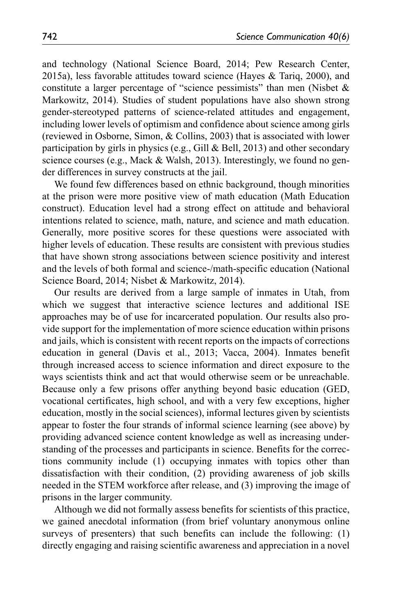and technology (National Science Board, 2014; Pew Research Center, 2015a), less favorable attitudes toward science (Hayes & Tariq, 2000), and constitute a larger percentage of "science pessimists" than men (Nisbet  $\&$ Markowitz, 2014). Studies of student populations have also shown strong gender-stereotyped patterns of science-related attitudes and engagement, including lower levels of optimism and confidence about science among girls (reviewed in Osborne, Simon, & Collins, 2003) that is associated with lower participation by girls in physics (e.g., Gill & Bell, 2013) and other secondary science courses (e.g., Mack & Walsh, 2013). Interestingly, we found no gender differences in survey constructs at the jail.

We found few differences based on ethnic background, though minorities at the prison were more positive view of math education (Math Education construct). Education level had a strong effect on attitude and behavioral intentions related to science, math, nature, and science and math education. Generally, more positive scores for these questions were associated with higher levels of education. These results are consistent with previous studies that have shown strong associations between science positivity and interest and the levels of both formal and science-/math-specific education (National Science Board, 2014; Nisbet & Markowitz, 2014).

Our results are derived from a large sample of inmates in Utah, from which we suggest that interactive science lectures and additional ISE approaches may be of use for incarcerated population. Our results also provide support for the implementation of more science education within prisons and jails, which is consistent with recent reports on the impacts of corrections education in general (Davis et al., 2013; Vacca, 2004). Inmates benefit through increased access to science information and direct exposure to the ways scientists think and act that would otherwise seem or be unreachable. Because only a few prisons offer anything beyond basic education (GED, vocational certificates, high school, and with a very few exceptions, higher education, mostly in the social sciences), informal lectures given by scientists appear to foster the four strands of informal science learning (see above) by providing advanced science content knowledge as well as increasing understanding of the processes and participants in science. Benefits for the corrections community include (1) occupying inmates with topics other than dissatisfaction with their condition, (2) providing awareness of job skills needed in the STEM workforce after release, and (3) improving the image of prisons in the larger community.

Although we did not formally assess benefits for scientists of this practice, we gained anecdotal information (from brief voluntary anonymous online surveys of presenters) that such benefits can include the following: (1) directly engaging and raising scientific awareness and appreciation in a novel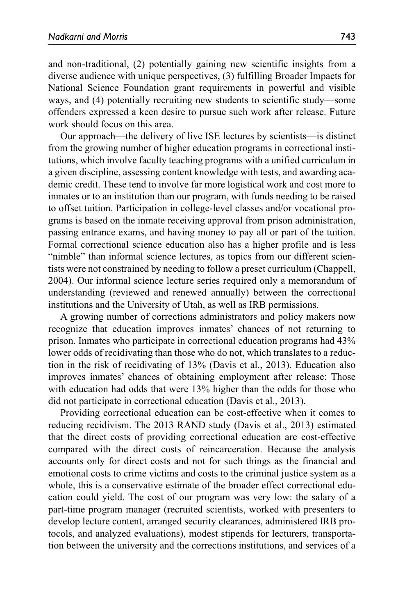and non-traditional, (2) potentially gaining new scientific insights from a diverse audience with unique perspectives, (3) fulfilling Broader Impacts for National Science Foundation grant requirements in powerful and visible ways, and (4) potentially recruiting new students to scientific study—some offenders expressed a keen desire to pursue such work after release. Future work should focus on this area.

Our approach—the delivery of live ISE lectures by scientists—is distinct from the growing number of higher education programs in correctional institutions, which involve faculty teaching programs with a unified curriculum in a given discipline, assessing content knowledge with tests, and awarding academic credit. These tend to involve far more logistical work and cost more to inmates or to an institution than our program, with funds needing to be raised to offset tuition. Participation in college-level classes and/or vocational programs is based on the inmate receiving approval from prison administration, passing entrance exams, and having money to pay all or part of the tuition. Formal correctional science education also has a higher profile and is less "nimble" than informal science lectures, as topics from our different scientists were not constrained by needing to follow a preset curriculum (Chappell, 2004). Our informal science lecture series required only a memorandum of understanding (reviewed and renewed annually) between the correctional institutions and the University of Utah, as well as IRB permissions.

A growing number of corrections administrators and policy makers now recognize that education improves inmates' chances of not returning to prison. Inmates who participate in correctional education programs had 43% lower odds of recidivating than those who do not, which translates to a reduction in the risk of recidivating of 13% (Davis et al., 2013). Education also improves inmates' chances of obtaining employment after release: Those with education had odds that were 13% higher than the odds for those who did not participate in correctional education (Davis et al., 2013).

Providing correctional education can be cost-effective when it comes to reducing recidivism. The 2013 RAND study (Davis et al., 2013) estimated that the direct costs of providing correctional education are cost-effective compared with the direct costs of reincarceration. Because the analysis accounts only for direct costs and not for such things as the financial and emotional costs to crime victims and costs to the criminal justice system as a whole, this is a conservative estimate of the broader effect correctional education could yield. The cost of our program was very low: the salary of a part-time program manager (recruited scientists, worked with presenters to develop lecture content, arranged security clearances, administered IRB protocols, and analyzed evaluations), modest stipends for lecturers, transportation between the university and the corrections institutions, and services of a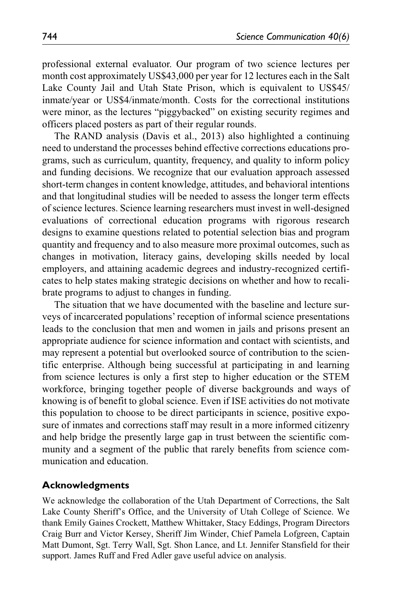professional external evaluator. Our program of two science lectures per month cost approximately US\$43,000 per year for 12 lectures each in the Salt Lake County Jail and Utah State Prison, which is equivalent to US\$45/ inmate/year or US\$4/inmate/month. Costs for the correctional institutions were minor, as the lectures "piggybacked" on existing security regimes and officers placed posters as part of their regular rounds.

The RAND analysis (Davis et al., 2013) also highlighted a continuing need to understand the processes behind effective corrections educations programs, such as curriculum, quantity, frequency, and quality to inform policy and funding decisions. We recognize that our evaluation approach assessed short-term changes in content knowledge, attitudes, and behavioral intentions and that longitudinal studies will be needed to assess the longer term effects of science lectures. Science learning researchers must invest in well-designed evaluations of correctional education programs with rigorous research designs to examine questions related to potential selection bias and program quantity and frequency and to also measure more proximal outcomes, such as changes in motivation, literacy gains, developing skills needed by local employers, and attaining academic degrees and industry-recognized certificates to help states making strategic decisions on whether and how to recalibrate programs to adjust to changes in funding.

The situation that we have documented with the baseline and lecture surveys of incarcerated populations' reception of informal science presentations leads to the conclusion that men and women in jails and prisons present an appropriate audience for science information and contact with scientists, and may represent a potential but overlooked source of contribution to the scientific enterprise. Although being successful at participating in and learning from science lectures is only a first step to higher education or the STEM workforce, bringing together people of diverse backgrounds and ways of knowing is of benefit to global science. Even if ISE activities do not motivate this population to choose to be direct participants in science, positive exposure of inmates and corrections staff may result in a more informed citizenry and help bridge the presently large gap in trust between the scientific community and a segment of the public that rarely benefits from science communication and education.

### **Acknowledgments**

We acknowledge the collaboration of the Utah Department of Corrections, the Salt Lake County Sheriff's Office, and the University of Utah College of Science. We thank Emily Gaines Crockett, Matthew Whittaker, Stacy Eddings, Program Directors Craig Burr and Victor Kersey, Sheriff Jim Winder, Chief Pamela Lofgreen, Captain Matt Dumont, Sgt. Terry Wall, Sgt. Shon Lance, and Lt. Jennifer Stansfield for their support. James Ruff and Fred Adler gave useful advice on analysis.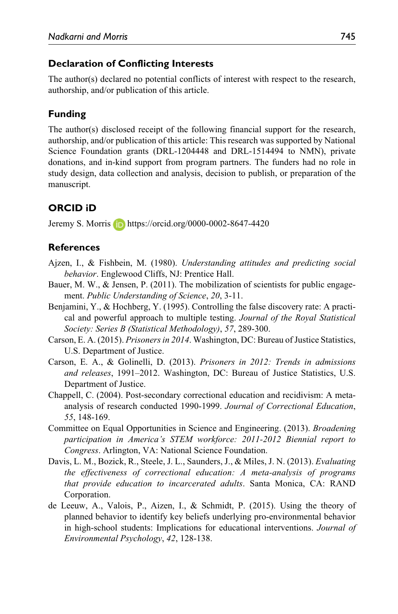### **Declaration of Conflicting Interests**

The author(s) declared no potential conflicts of interest with respect to the research, authorship, and/or publication of this article.

### **Funding**

The author(s) disclosed receipt of the following financial support for the research, authorship, and/or publication of this article: This research was supported by National Science Foundation grants (DRL-1204448 and DRL-1514494 to NMN), private donations, and in-kind support from program partners. The funders had no role in study design, data collection and analysis, decision to publish, or preparation of the manuscript.

## **ORCID iD**

Jeremy S. Morris **b** <https://orcid.org/0000-0002-8647-4420>

### **References**

- Ajzen, I., & Fishbein, M. (1980). *Understanding attitudes and predicting social behavior*. Englewood Cliffs, NJ: Prentice Hall.
- Bauer, M. W., & Jensen, P. (2011). The mobilization of scientists for public engagement. *Public Understanding of Science*, *20*, 3-11.
- Benjamini, Y., & Hochberg, Y. (1995). Controlling the false discovery rate: A practical and powerful approach to multiple testing. *Journal of the Royal Statistical Society: Series B (Statistical Methodology)*, *57*, 289-300.
- Carson, E. A. (2015). *Prisoners in 2014*. Washington, DC: Bureau of Justice Statistics, U.S. Department of Justice.
- Carson, E. A., & Golinelli, D. (2013). *Prisoners in 2012: Trends in admissions and releases*, 1991–2012. Washington, DC: Bureau of Justice Statistics, U.S. Department of Justice.
- Chappell, C. (2004). Post-secondary correctional education and recidivism: A metaanalysis of research conducted 1990-1999. *Journal of Correctional Education*, *55*, 148-169.
- Committee on Equal Opportunities in Science and Engineering. (2013). *Broadening participation in America's STEM workforce: 2011-2012 Biennial report to Congress*. Arlington, VA: National Science Foundation.
- Davis, L. M., Bozick, R., Steele, J. L., Saunders, J., & Miles, J. N. (2013). *Evaluating the effectiveness of correctional education: A meta-analysis of programs that provide education to incarcerated adults*. Santa Monica, CA: RAND Corporation.
- de Leeuw, A., Valois, P., Aizen, I., & Schmidt, P. (2015). Using the theory of planned behavior to identify key beliefs underlying pro-environmental behavior in high-school students: Implications for educational interventions. *Journal of Environmental Psychology*, *42*, 128-138.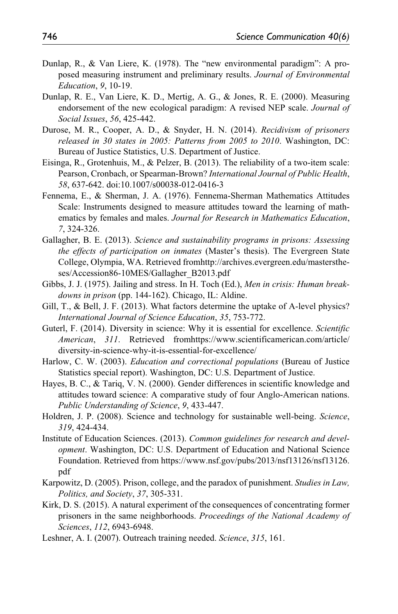- Dunlap, R., & Van Liere, K. (1978). The "new environmental paradigm": A proposed measuring instrument and preliminary results. *Journal of Environmental Education*, *9*, 10-19.
- Dunlap, R. E., Van Liere, K. D., Mertig, A. G., & Jones, R. E. (2000). Measuring endorsement of the new ecological paradigm: A revised NEP scale. *Journal of Social Issues*, *56*, 425-442.
- Durose, M. R., Cooper, A. D., & Snyder, H. N. (2014). *Recidivism of prisoners released in 30 states in 2005: Patterns from 2005 to 2010*. Washington, DC: Bureau of Justice Statistics, U.S. Department of Justice.
- Eisinga, R., Grotenhuis, M., & Pelzer, B. (2013). The reliability of a two-item scale: Pearson, Cronbach, or Spearman-Brown? *International Journal of Public Health*, *58*, 637-642. doi:10.1007/s00038-012-0416-3
- Fennema, E., & Sherman, J. A. (1976). Fennema-Sherman Mathematics Attitudes Scale: Instruments designed to measure attitudes toward the learning of mathematics by females and males. *Journal for Research in Mathematics Education*, *7*, 324-326.
- Gallagher, B. E. (2013). *Science and sustainability programs in prisons: Assessing the effects of participation on inmates* (Master's thesis). The Evergreen State College, Olympia, WA. Retrieved from[http://archives.evergreen.edu/mastersthe](http://archives.evergreen.edu/masterstheses/Accession86-10MES/Gallagher_B2013.pdf)[ses/Accession86-10MES/Gallagher\\_B2013.pdf](http://archives.evergreen.edu/masterstheses/Accession86-10MES/Gallagher_B2013.pdf)
- Gibbs, J. J. (1975). Jailing and stress. In H. Toch (Ed.), *Men in crisis: Human breakdowns in prison* (pp. 144-162). Chicago, IL: Aldine.
- Gill, T., & Bell, J. F. (2013). What factors determine the uptake of A-level physics? *International Journal of Science Education*, *35*, 753-772.
- Guterl, F. (2014). Diversity in science: Why it is essential for excellence. *Scientific American*, *311*. Retrieved fro[mhttps://www.scientificamerican.com/article/](https://www.scientificamerican.com/article/diversity-in-science-why-it-is-essential-for-excellence/) [diversity-in-science-why-it-is-essential-for-excellence/](https://www.scientificamerican.com/article/diversity-in-science-why-it-is-essential-for-excellence/)
- Harlow, C. W. (2003). *Education and correctional populations* (Bureau of Justice Statistics special report). Washington, DC: U.S. Department of Justice.
- Hayes, B. C., & Tariq, V. N. (2000). Gender differences in scientific knowledge and attitudes toward science: A comparative study of four Anglo-American nations. *Public Understanding of Science*, *9*, 433-447.
- Holdren, J. P. (2008). Science and technology for sustainable well-being. *Science*, *319*, 424-434.
- Institute of Education Sciences. (2013). *Common guidelines for research and development*. Washington, DC: U.S. Department of Education and National Science Foundation. Retrieved from [https://www.nsf.gov/pubs/2013/nsf13126/nsf13126.](https://www.nsf.gov/pubs/2013/nsf13126/nsf13126.pdf) [pdf](https://www.nsf.gov/pubs/2013/nsf13126/nsf13126.pdf)
- Karpowitz, D. (2005). Prison, college, and the paradox of punishment. *Studies in Law, Politics, and Society*, *37*, 305-331.
- Kirk, D. S. (2015). A natural experiment of the consequences of concentrating former prisoners in the same neighborhoods. *Proceedings of the National Academy of Sciences*, *112*, 6943-6948.
- Leshner, A. I. (2007). Outreach training needed. *Science*, *315*, 161.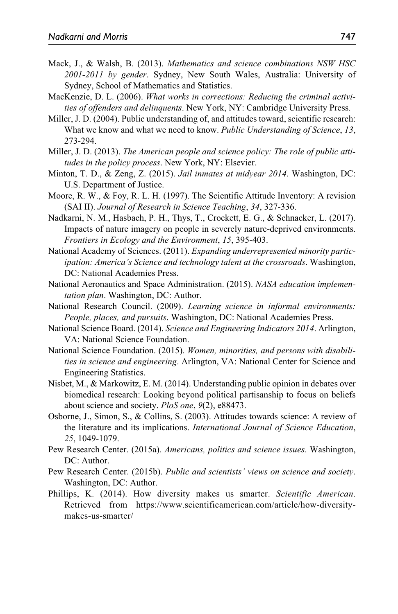- Mack, J., & Walsh, B. (2013). *Mathematics and science combinations NSW HSC 2001-2011 by gender*. Sydney, New South Wales, Australia: University of Sydney, School of Mathematics and Statistics.
- MacKenzie, D. L. (2006). *What works in corrections: Reducing the criminal activities of offenders and delinquents*. New York, NY: Cambridge University Press.
- Miller, J. D. (2004). Public understanding of, and attitudes toward, scientific research: What we know and what we need to know. *Public Understanding of Science*, *13*, 273-294.
- Miller, J. D. (2013). *The American people and science policy: The role of public attitudes in the policy process*. New York, NY: Elsevier.
- Minton, T. D., & Zeng, Z. (2015). *Jail inmates at midyear 2014*. Washington, DC: U.S. Department of Justice.
- Moore, R. W., & Foy, R. L. H. (1997). The Scientific Attitude Inventory: A revision (SAI II). *Journal of Research in Science Teaching*, *34*, 327-336.
- Nadkarni, N. M., Hasbach, P. H., Thys, T., Crockett, E. G., & Schnacker, L. (2017). Impacts of nature imagery on people in severely nature-deprived environments. *Frontiers in Ecology and the Environment*, *15*, 395-403.
- National Academy of Sciences. (2011). *Expanding underrepresented minority participation: America's Science and technology talent at the crossroads*. Washington, DC: National Academies Press.
- National Aeronautics and Space Administration. (2015). *NASA education implementation plan*. Washington, DC: Author.
- National Research Council. (2009). *Learning science in informal environments: People, places, and pursuits*. Washington, DC: National Academies Press.
- National Science Board. (2014). *Science and Engineering Indicators 2014*. Arlington, VA: National Science Foundation.
- National Science Foundation. (2015). *Women, minorities, and persons with disabilities in science and engineering*. Arlington, VA: National Center for Science and Engineering Statistics.
- Nisbet, M., & Markowitz, E. M. (2014). Understanding public opinion in debates over biomedical research: Looking beyond political partisanship to focus on beliefs about science and society. *PloS one*, *9*(2), e88473.
- Osborne, J., Simon, S., & Collins, S. (2003). Attitudes towards science: A review of the literature and its implications. *International Journal of Science Education*, *25*, 1049-1079.
- Pew Research Center. (2015a). *Americans, politics and science issues*. Washington, DC: Author.
- Pew Research Center. (2015b). *Public and scientists' views on science and society*. Washington, DC: Author.
- Phillips, K. (2014). How diversity makes us smarter. *Scientific American*. Retrieved from [https://www.scientificamerican.com/article/how-diversity](https://www.scientificamerican.com/article/how-diversity-makes-us-smarter/)[makes-us-smarter/](https://www.scientificamerican.com/article/how-diversity-makes-us-smarter/)